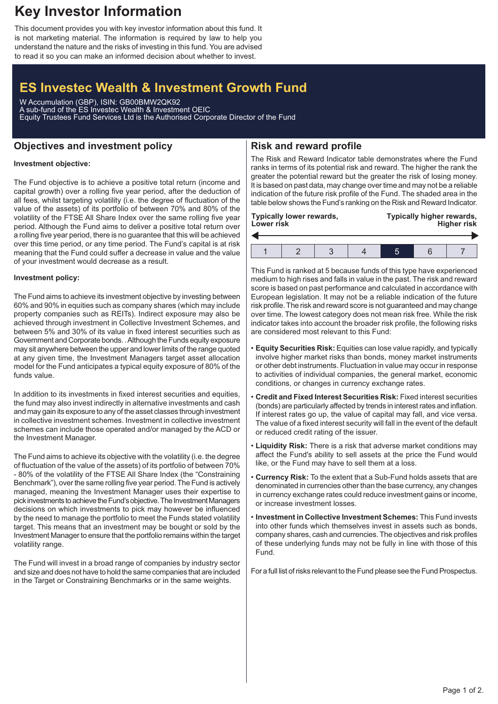## **Key Investor Information**

This document provides you with key investor information about this fund. It is not marketing material. The information is required by law to help you understand the nature and the risks of investing in this fund. You are advised to read it so you can make an informed decision about whether to invest.

# **ES Investec Wealth & Investment Growth Fund**

W Accumulation (GBP), ISIN: GB00BMW2QK92 A sub-fund of the ES Investec Wealth & Investment OEIC Equity Trustees Fund Services Ltd is the Authorised Corporate Director of the Fund

### **Objectives and investment policy**

## **Risk and reward profile**

### **Investment objective:**

The Fund objective is to achieve a positive total return (income and capital growth) over a rolling five year period, after the deduction of all fees, whilst targeting volatility (i.e. the degree of fluctuation of the value of the assets) of its portfolio of between 70% and 80% of the volatility of the FTSE All Share Index over the same rolling five year period. Although the Fund aims to deliver a positive total return over a rolling five year period, there is no guarantee that this will be achieved over this time period, or any time period. The Fund's capital is at risk meaning that the Fund could suffer a decrease in value and the value of your investment would decrease as a result.

#### **Investment policy:**

The Fund aims to achieve its investment objective by investing between 60% and 90% in equities such as company shares (which may include property companies such as REITs). Indirect exposure may also be achieved through investment in Collective Investment Schemes, and between 5% and 30% of its value in fixed interest securities such as Government and Corporate bonds. .Although the Funds equity exposure may sit anywhere between the upper and lower limits of the range quoted at any given time, the Investment Managers target asset allocation model for the Fund anticipates a typical equity exposure of 80% of the funds value.

In addition to its investments in fixed interest securities and equities, the fund may also invest indirectly in alternative investments and cash and may gain its exposure to any of the asset classes through investment in collective investment schemes. Investment in collective investment schemes can include those operated and/or managed by the ACD or the Investment Manager.

The Fund aims to achieve its objective with the volatility (i.e. the degree of fluctuation of the value of the assets) of its portfolio of between 70% - 80% of the volatility of the FTSE All Share Index (the "Constraining Benchmark"), over the same rolling five year period. The Fund is actively managed, meaning the Investment Manager uses their expertise to pick investments to achieve the Fund's objective. The Investment Managers decisions on which investments to pick may however be influenced by the need to manage the portfolio to meet the Funds stated volatility target. This means that an investment may be bought or sold by the Investment Manager to ensure that the portfolio remains within the target volatility range.

The Fund will invest in a broad range of companies by industry sector and size and does not have to hold the same companies that are included in the Target or Constraining Benchmarks or in the same weights.

The Risk and Reward Indicator table demonstrates where the Fund ranks in terms of its potential risk and reward. The higher the rank the greater the potential reward but the greater the risk of losing money. It is based on past data, may change over time and may not be a reliable indication of the future risk profile of the Fund. The shaded area in the table below shows the Fund's ranking on the Risk and Reward Indicator.

| <b>Typically lower rewards,</b><br>Lower risk |  |  |  | Typically higher rewards,<br><b>Higher risk</b> |  |  |
|-----------------------------------------------|--|--|--|-------------------------------------------------|--|--|
|                                               |  |  |  |                                                 |  |  |
|                                               |  |  |  |                                                 |  |  |

This Fund is ranked at 5 because funds of this type have experienced medium to high rises and falls in value in the past. The risk and reward score is based on past performance and calculated in accordance with European legislation. It may not be a reliable indication of the future risk profile. The risk and reward score is not guaranteed and may change over time. The lowest category does not mean risk free. While the risk indicator takes into account the broader risk profile, the following risks are considered most relevant to this Fund:

- **Equity Securities Risk:** Equities can lose value rapidly, and typically involve higher market risks than bonds, money market instruments or other debt instruments. Fluctuation in value may occur in response to activities of individual companies, the general market, economic conditions, or changes in currency exchange rates.
- **Credit and Fixed Interest Securities Risk:** Fixed interest securities (bonds) are particularly affected by trends in interest rates and inflation. If interest rates go up, the value of capital may fall, and vice versa. The value of a fixed interest security will fall in the event of the default or reduced credit rating of the issuer.
- **Liquidity Risk:** There is a risk that adverse market conditions may affect the Fund's ability to sell assets at the price the Fund would like, or the Fund may have to sell them at a loss.
- **Currency Risk:** To the extent that a Sub-Fund holds assets that are denominated in currencies other than the base currency, any changes in currency exchange rates could reduce investment gains or income, or increase investment losses.
- **Investment in Collective Investment Schemes:** This Fund invests into other funds which themselves invest in assets such as bonds, company shares, cash and currencies. The objectives and risk profiles of these underlying funds may not be fully in line with those of this Fund.

For a full list of risks relevant to the Fund please see the Fund Prospectus.